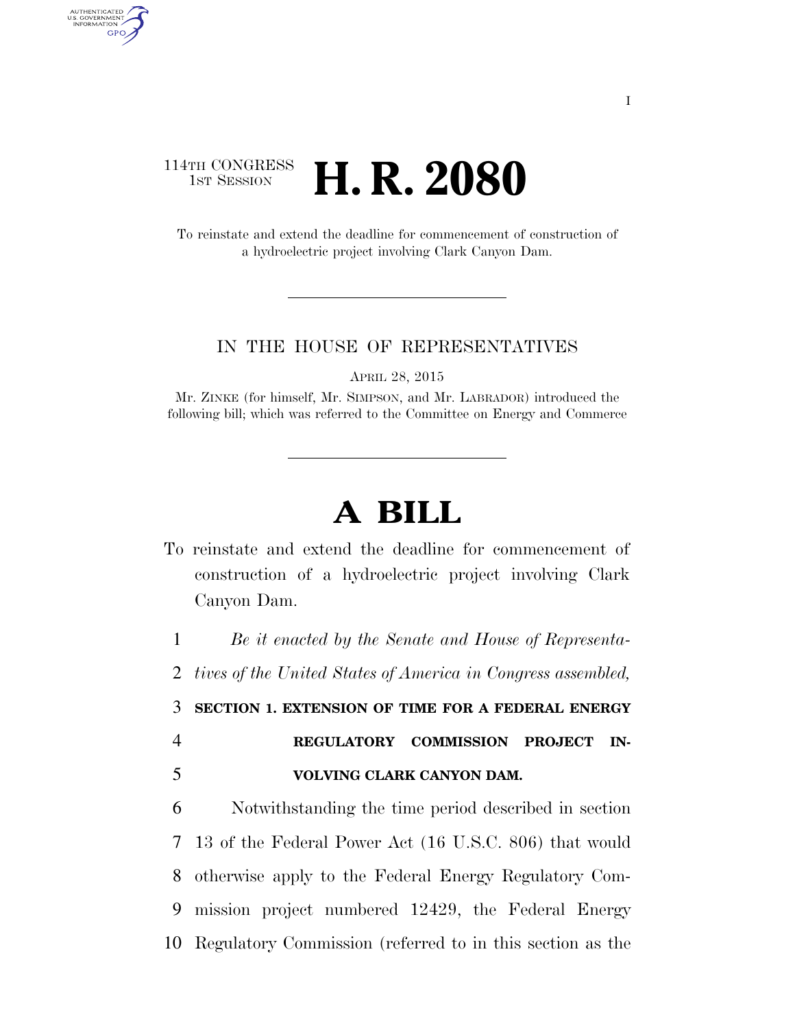## 114TH CONGRESS **1ST SESSION <b>H. R. 2080**

AUTHENTICATED<br>U.S. GOVERNMENT<br>INFORMATION GPO

> To reinstate and extend the deadline for commencement of construction of a hydroelectric project involving Clark Canyon Dam.

## IN THE HOUSE OF REPRESENTATIVES

APRIL 28, 2015

Mr. ZINKE (for himself, Mr. SIMPSON, and Mr. LABRADOR) introduced the following bill; which was referred to the Committee on Energy and Commerce

## **A BILL**

To reinstate and extend the deadline for commencement of construction of a hydroelectric project involving Clark Canyon Dam.

 *Be it enacted by the Senate and House of Representa- tives of the United States of America in Congress assembled,*  **SECTION 1. EXTENSION OF TIME FOR A FEDERAL ENERGY REGULATORY COMMISSION PROJECT IN- VOLVING CLARK CANYON DAM.**  Notwithstanding the time period described in section 13 of the Federal Power Act (16 U.S.C. 806) that would

8 otherwise apply to the Federal Energy Regulatory Com-9 mission project numbered 12429, the Federal Energy 10 Regulatory Commission (referred to in this section as the